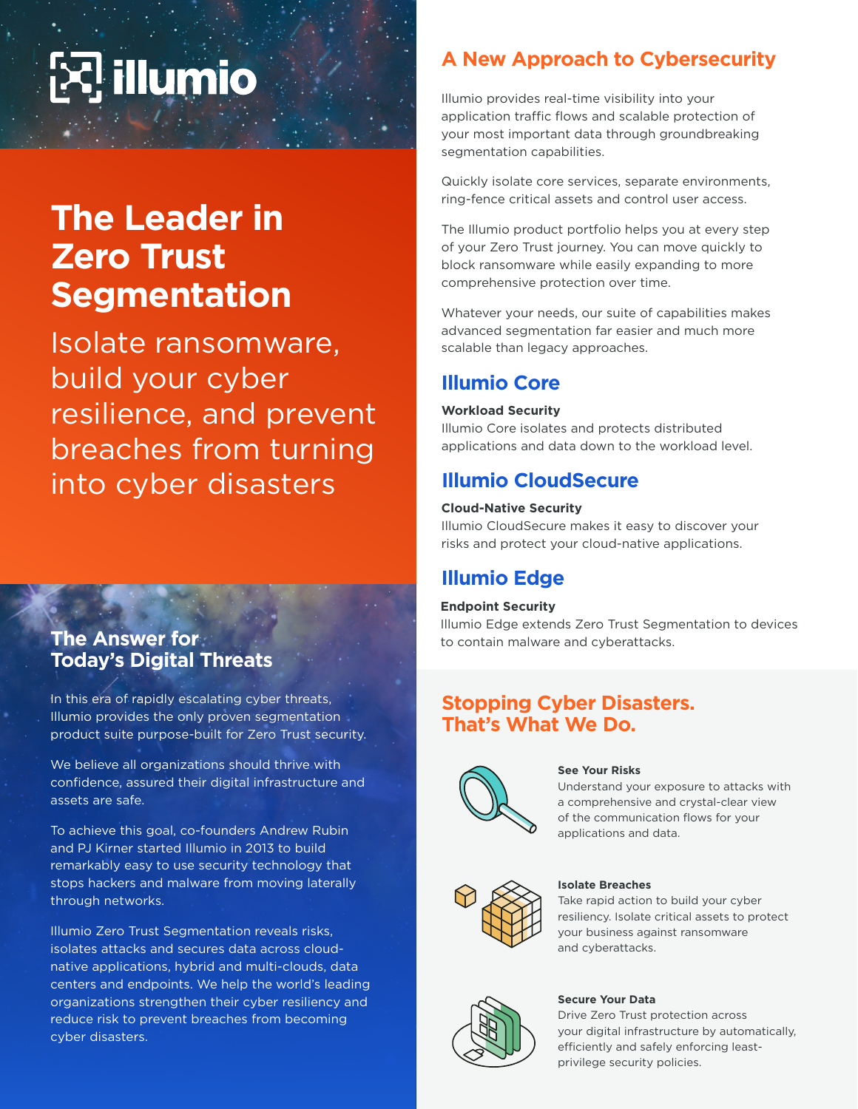# **illumio**

## **The Leader in Zero Trust Segmentation**

Isolate ransomware, build your cyber resilience, and prevent breaches from turning into cyber disasters

## **The Answer for Today's Digital Threats**

In this era of rapidly escalating cyber threats, Illumio provides the only proven segmentation product suite purpose-built for Zero Trust security.

We believe all organizations should thrive with confidence, assured their digital infrastructure and assets are safe.

To achieve this goal, co-founders Andrew Rubin and PJ Kirner started Illumio in 2013 to build remarkably easy to use security technology that stops hackers and malware from moving laterally through networks.

Illumio Zero Trust Segmentation reveals risks, isolates attacks and secures data across cloudnative applications, hybrid and multi-clouds, data centers and endpoints. We help the world's leading organizations strengthen their cyber resiliency and reduce risk to prevent breaches from becoming cyber disasters.

## **A New Approach to Cybersecurity**

Illumio provides real-time visibility into your application traffic flows and scalable protection of your most important data through groundbreaking segmentation capabilities.

Quickly isolate core services, separate environments, ring-fence critical assets and control user access.

The Illumio product portfolio helps you at every step of your Zero Trust journey. You can move quickly to block ransomware while easily expanding to more comprehensive protection over time.

Whatever your needs, our suite of capabilities makes advanced segmentation far easier and much more scalable than legacy approaches.

## **Illumio Core**

#### **Workload Security**

Illumio Core isolates and protects distributed applications and data down to the workload level.

## **Illumio CloudSecure**

#### **Cloud-Native Security**

Illumio CloudSecure makes it easy to discover your risks and protect your cloud-native applications.

## **Illumio Edge**

#### **Endpoint Security**

Illumio Edge extends Zero Trust Segmentation to devices to contain malware and cyberattacks.

## **Stopping Cyber Disasters. That's What We Do.**



#### **See Your Risks**

Understand your exposure to attacks with a comprehensive and crystal-clear view of the communication flows for your applications and data.



#### **Isolate Breaches**

Take rapid action to build your cyber resiliency. Isolate critical assets to protect your business against ransomware and cyberattacks.



#### **Secure Your Data**

Drive Zero Trust protection across your digital infrastructure by automatically, efficiently and safely enforcing leastprivilege security policies.